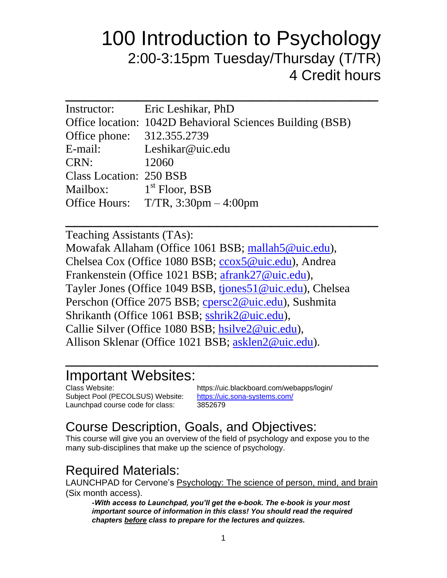# 100 Introduction to Psychology 2:00-3:15pm Tuesday/Thursday (T/TR) 4 Credit hours

| Instructor: Eric Leshikar, PhD                            |
|-----------------------------------------------------------|
| Office location: 1042D Behavioral Sciences Building (BSB) |
| Office phone: 312.355.2739                                |
| E-mail: Leshikar@uic.edu                                  |
| 12060                                                     |
| <b>Class Location: 250 BSB</b>                            |
| Mailbox: $1st$ Floor, BSB                                 |
| Office Hours: $T/TR$ , 3:30pm $-4:00$ pm                  |
|                                                           |

 $\overline{\phantom{a}}$  , where  $\overline{\phantom{a}}$  , where  $\overline{\phantom{a}}$  , where  $\overline{\phantom{a}}$  , where  $\overline{\phantom{a}}$  , where  $\overline{\phantom{a}}$ 

Teaching Assistants (TAs): Mowafak Allaham (Office 1061 BSB; [mallah5@uic.edu\)](mailto:mallah5@uic.edu), Chelsea Cox (Office 1080 BSB; ccox5@uic.edu), Andrea Frankenstein (Office 1021 BSB; [afrank27@uic.edu\)](mailto:afrank27@uic.edu), Tayler Jones (Office 1049 BSB, [tjones51@uic.edu\)](mailto:tjones51@uic.edu), Chelsea Perschon (Office 2075 BSB; [cpersc2@uic.edu\)](mailto:cpersc2@uic.edu), Sushmita Shrikanth (Office 1061 BSB; [sshrik2@uic.edu\)](mailto:sshrik2@uic.edu), Callie Silver (Office 1080 BSB; [hsilve2@uic.edu\)](mailto:hsilve2@uic.edu), Allison Sklenar (Office 1021 BSB; [asklen2@uic.edu\)](mailto:asklen2@uic.edu).

# Important Websites:

Subject Pool (PECOLSUS) Website: <https://uic.sona-systems.com/> Launchpad course code for class: 3852679

Class Website: https://uic.blackboard.com/webapps/login/

# Course Description, Goals, and Objectives:

This course will give you an overview of the field of psychology and expose you to the many sub-disciplines that make up the science of psychology.

 $\overline{\phantom{a}}$  , where  $\overline{\phantom{a}}$  , where  $\overline{\phantom{a}}$  , where  $\overline{\phantom{a}}$  , where  $\overline{\phantom{a}}$  , where  $\overline{\phantom{a}}$ 

### Required Materials:

LAUNCHPAD for Cervone's Psychology: The science of person, mind, and brain (Six month access).

*-With access to Launchpad, you'll get the e-book. The e-book is your most important source of information in this class! You should read the required chapters before class to prepare for the lectures and quizzes.*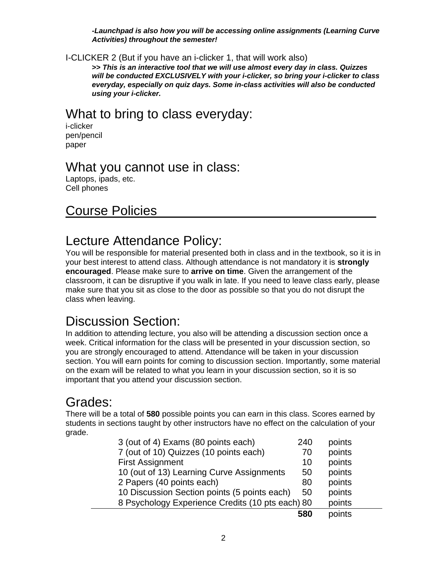*-Launchpad is also how you will be accessing online assignments (Learning Curve Activities) throughout the semester!*

I-CLICKER 2 (But if you have an i-clicker 1, that will work also)

**>>** *This is an interactive tool that we will use almost every day in class. Quizzes will be conducted EXCLUSIVELY with your i-clicker, so bring your i-clicker to class everyday, especially on quiz days. Some in-class activities will also be conducted using your i-clicker.*

#### What to bring to class everyday:

i-clicker pen/pencil paper

#### What you cannot use in class:

Laptops, ipads, etc. Cell phones

#### Course Policies

#### Lecture Attendance Policy:

You will be responsible for material presented both in class and in the textbook, so it is in your best interest to attend class. Although attendance is not mandatory it is **strongly encouraged**. Please make sure to **arrive on time**. Given the arrangement of the classroom, it can be disruptive if you walk in late. If you need to leave class early, please make sure that you sit as close to the door as possible so that you do not disrupt the class when leaving.

### Discussion Section:

In addition to attending lecture, you also will be attending a discussion section once a week. Critical information for the class will be presented in your discussion section, so you are strongly encouraged to attend. Attendance will be taken in your discussion section. You will earn points for coming to discussion section. Importantly, some material on the exam will be related to what you learn in your discussion section, so it is so important that you attend your discussion section.

### Grades:

There will be a total of **580** possible points you can earn in this class. Scores earned by students in sections taught by other instructors have no effect on the calculation of your grade.

| 3 (out of 4) Exams (80 points each)              | 240 | points |  |
|--------------------------------------------------|-----|--------|--|
| 7 (out of 10) Quizzes (10 points each)           | 70  | points |  |
| <b>First Assignment</b>                          | 10  | points |  |
| 10 (out of 13) Learning Curve Assignments        | 50  | points |  |
| 2 Papers (40 points each)                        | 80  | points |  |
| 10 Discussion Section points (5 points each)     | 50  | points |  |
| 8 Psychology Experience Credits (10 pts each) 80 |     | points |  |
|                                                  | 580 | points |  |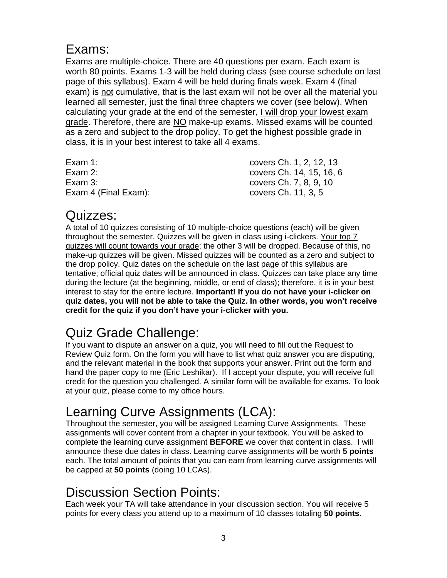#### Exams:

Exams are multiple-choice. There are 40 questions per exam. Each exam is worth 80 points. Exams 1-3 will be held during class (see course schedule on last page of this syllabus). Exam 4 will be held during finals week. Exam 4 (final exam) is not cumulative, that is the last exam will not be over all the material you learned all semester, just the final three chapters we cover (see below). When calculating your grade at the end of the semester, I will drop your lowest exam grade. Therefore, there are NO make-up exams. Missed exams will be counted as a zero and subject to the drop policy. To get the highest possible grade in class, it is in your best interest to take all 4 exams.

| Exam 1:              | covers Ch. 1, 2, 12, 13  |
|----------------------|--------------------------|
| Exam 2:              | covers Ch. 14, 15, 16, 6 |
| Exam $3:$            | covers Ch. 7, 8, 9, 10   |
| Exam 4 (Final Exam): | covers Ch. 11, 3, 5      |

#### Quizzes:

A total of 10 quizzes consisting of 10 multiple-choice questions (each) will be given throughout the semester. Quizzes will be given in class using i-clickers. Your top 7 quizzes will count towards your grade; the other 3 will be dropped. Because of this, no make-up quizzes will be given. Missed quizzes will be counted as a zero and subject to the drop policy. Quiz dates on the schedule on the last page of this syllabus are tentative; official quiz dates will be announced in class. Quizzes can take place any time during the lecture (at the beginning, middle, or end of class); therefore, it is in your best interest to stay for the entire lecture. **Important! If you do not have your i-clicker on quiz dates, you will not be able to take the Quiz. In other words, you won't receive credit for the quiz if you don't have your i-clicker with you.**

# Quiz Grade Challenge:

If you want to dispute an answer on a quiz, you will need to fill out the Request to Review Quiz form. On the form you will have to list what quiz answer you are disputing, and the relevant material in the book that supports your answer. Print out the form and hand the paper copy to me (Eric Leshikar). If I accept your dispute, you will receive full credit for the question you challenged. A similar form will be available for exams. To look at your quiz, please come to my office hours.

# Learning Curve Assignments (LCA):

Throughout the semester, you will be assigned Learning Curve Assignments. These assignments will cover content from a chapter in your textbook. You will be asked to complete the learning curve assignment **BEFORE** we cover that content in class. I will announce these due dates in class. Learning curve assignments will be worth **5 points** each. The total amount of points that you can earn from learning curve assignments will be capped at **50 points** (doing 10 LCAs).

## Discussion Section Points:

Each week your TA will take attendance in your discussion section. You will receive 5 points for every class you attend up to a maximum of 10 classes totaling **50 points**.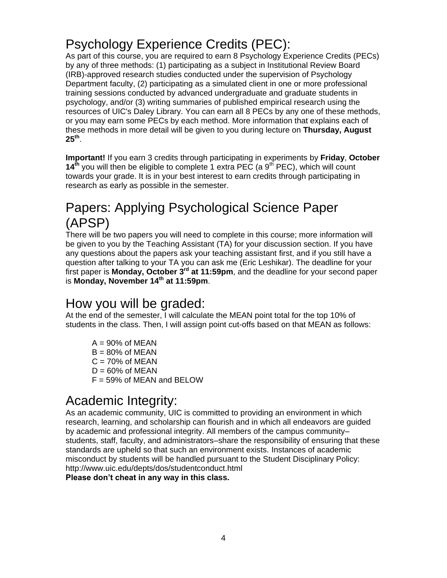# Psychology Experience Credits (PEC):

As part of this course, you are required to earn 8 Psychology Experience Credits (PECs) by any of three methods: (1) participating as a subject in Institutional Review Board (IRB)-approved research studies conducted under the supervision of Psychology Department faculty, (2) participating as a simulated client in one or more professional training sessions conducted by advanced undergraduate and graduate students in psychology, and/or (3) writing summaries of published empirical research using the resources of UIC's Daley Library. You can earn all 8 PECs by any one of these methods, or you may earn some PECs by each method. More information that explains each of these methods in more detail will be given to you during lecture on **Thursday, August 25th** .

**Important!** If you earn 3 credits through participating in experiments by **Friday**, **October 14<sup>th</sup> you will then be eligible to complete 1 extra PEC (a 9<sup>th</sup> PEC), which will count** towards your grade. It is in your best interest to earn credits through participating in research as early as possible in the semester.

# Papers: Applying Psychological Science Paper (APSP)

There will be two papers you will need to complete in this course; more information will be given to you by the Teaching Assistant (TA) for your discussion section. If you have any questions about the papers ask your teaching assistant first, and if you still have a question after talking to your TA you can ask me (Eric Leshikar). The deadline for your first paper is Monday, October 3<sup>rd</sup> at 11:59pm, and the deadline for your second paper is **Monday, November 14 th at 11:59pm**.

### How you will be graded:

At the end of the semester, I will calculate the MEAN point total for the top 10% of students in the class. Then, I will assign point cut-offs based on that MEAN as follows:

 $A = 90\%$  of MEAN  $B = 80\%$  of MEAN  $C = 70%$  of MEAN  $D = 60\%$  of MEAN  $F = 59\%$  of MEAN and BELOW

# Academic Integrity:

As an academic community, UIC is committed to providing an environment in which research, learning, and scholarship can flourish and in which all endeavors are guided by academic and professional integrity. All members of the campus community– students, staff, faculty, and administrators–share the responsibility of ensuring that these standards are upheld so that such an environment exists. Instances of academic misconduct by students will be handled pursuant to the Student Disciplinary Policy: <http://www.uic.edu/depts/dos/studentconduct.html>

**Please don't cheat in any way in this class.**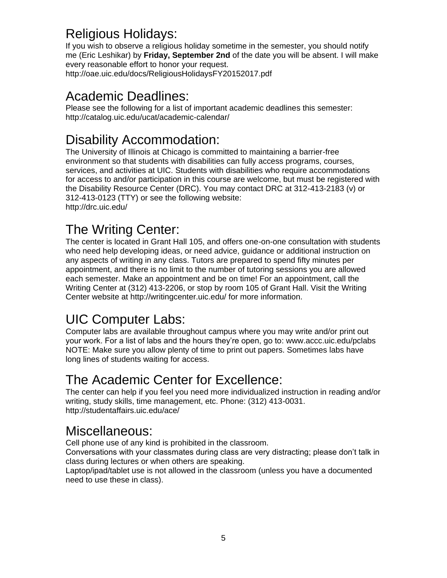# Religious Holidays:

If you wish to observe a religious holiday sometime in the semester, you should notify me (Eric Leshikar) by **Friday, September 2nd** of the date you will be absent. I will make every reasonable effort to honor your request. <http://oae.uic.edu/docs/ReligiousHolidaysFY20152017.pdf>

## Academic Deadlines:

Please see the following for a list of important academic deadlines this semester: http://catalog.uic.edu/ucat/academic-calendar/

# Disability Accommodation:

The University of Illinois at Chicago is committed to maintaining a barrier-free environment so that students with disabilities can fully access programs, courses, services, and activities at UIC. Students with disabilities who require accommodations for access to and/or participation in this course are welcome, but must be registered with the Disability Resource Center (DRC). You may contact DRC at 312-413-2183 (v) or 312-413-0123 (TTY) or see the following website: http://drc.uic.edu/

# The Writing Center:

The center is located in Grant Hall 105, and offers one-on-one consultation with students who need help developing ideas, or need advice, guidance or additional instruction on any aspects of writing in any class. Tutors are prepared to spend fifty minutes per appointment, and there is no limit to the number of tutoring sessions you are allowed each semester. Make an appointment and be on time! For an appointment, call the Writing Center at (312) 413-2206, or stop by room 105 of Grant Hall. Visit the Writing Center website at http://writingcenter.uic.edu/ for more information.

# UIC Computer Labs:

Computer labs are available throughout campus where you may write and/or print out your work. For a list of labs and the hours they're open, go to: www.accc.uic.edu/pclabs NOTE: Make sure you allow plenty of time to print out papers. Sometimes labs have long lines of students waiting for access.

# The Academic Center for Excellence:

The center can help if you feel you need more individualized instruction in reading and/or writing, study skills, time management, etc. Phone: (312) 413-0031. http://studentaffairs.uic.edu/ace/

## Miscellaneous:

Cell phone use of any kind is prohibited in the classroom.

Conversations with your classmates during class are very distracting; please don't talk in class during lectures or when others are speaking.

Laptop/ipad/tablet use is not allowed in the classroom (unless you have a documented need to use these in class).